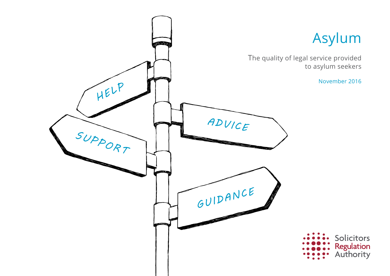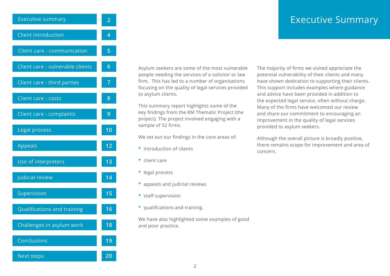#### Executive Summary

<span id="page-1-0"></span>

| <b>Executive summary</b>           | $\overline{2}$  |
|------------------------------------|-----------------|
| <b>Client introduction</b>         | 4               |
| Client care - communication        | 5               |
| Client care - vulnerable clients   | $6\phantom{1}$  |
| Client care - third parties        | 7               |
| Client care - costs                | 8               |
| Client care - complaints           | 9               |
| Legal process                      | 10              |
| Appeals                            | 12              |
| Use of interpreters                | 13              |
| Judicial review                    | 14              |
| Supervision                        | $\overline{15}$ |
| <b>Qualifications and training</b> | 16              |
| Challenges in asylum work          | 18              |
| Conclusions                        | 19              |
|                                    |                 |

 [Next steps](#page-19-0) **20**

Asylum seekers are some of the most vulnerable people needing the services of a solicitor or law firm. This has led to a number of organisations focusing on the quality of legal services provided to asylum clients.

This summary report highlights some of the key findings from the RM Thematic Project (the project). The project involved engaging with a sample of 52 firms.

We set out our findings in the core areas of:

- introduction of clients
- client care
- legal process
- appeals and judicial reviews
- staff supervision
- qualifications and training.

We have also highlighted some examples of good and poor practice.

The majority of firms we visited appreciate the potential vulnerability of their clients and many have shown dedication to supporting their clients. This support includes examples where guidance and advice have been provided in addition to the expected legal service, often without charge. Many of the firms have welcomed our review and share our commitment to encouraging an improvement in the quality of legal services provided to asylum seekers.

Although the overall picture is broadly positive, there remains scope for improvement and area of concern.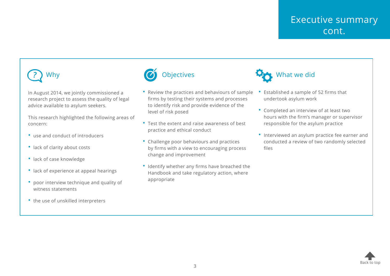# *?* Why

In August 2014, we jointly commissioned a research project to assess the quality of legal advice available to asylum seekers.

This research highlighted the following areas of concern:

- use and conduct of introducers
- lack of clarity about costs
- lack of case knowledge
- lack of experience at appeal hearings
- poor interview technique and quality of witness statements
- the use of unskilled interpreters



- Review the practices and behaviours of sample firms by testing their systems and processes to identify risk and provide evidence of the level of risk posed
- Test the extent and raise awareness of best practice and ethical conduct
- Challenge poor behaviours and practices by firms with a view to encouraging process change and improvement
- Identify whether any firms have breached the Handbook and take regulatory action, where appropriate



- Established a sample of 52 firms that undertook asylum work
- Completed an interview of at least two hours with the firm's manager or supervisor responsible for the asylum practice
- Interviewed an asylum practice fee earner and conducted a review of two randomly selected files

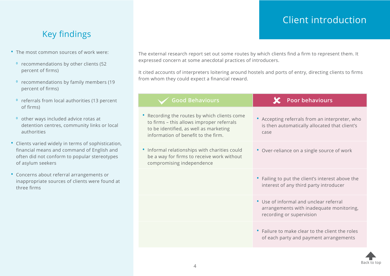### Client introduction

# <span id="page-3-0"></span>Key findings

- The most common sources of work were:
	- ⁰ recommendations by other clients (52 percent of firms)
	- ⁰ recommendations by family members (19 percent of firms)
	- ⁰ referrals from local authorities (13 percent of firms)
	- ⁰ other ways included advice rotas at detention centres, community links or local authorities
- Clients varied widely in terms of sophistication, financial means and command of English and often did not conform to popular stereotypes of asylum seekers
- Concerns about referral arrangements or inappropriate sources of clients were found at three firms

The external research report set out some routes by which clients find a firm to represent them. It expressed concern at some anecdotal practices of introducers.

It cited accounts of interpreters loitering around hostels and ports of entry, directing clients to firms from whom they could expect a financial reward.

| <b>Good Behaviours</b>                                                                                                                                                   | <b>Poor behaviours</b>                                                                                         |
|--------------------------------------------------------------------------------------------------------------------------------------------------------------------------|----------------------------------------------------------------------------------------------------------------|
| Recording the routes by which clients come<br>to firms - this allows improper referrals<br>to be identified, as well as marketing<br>information of benefit to the firm. | • Accepting referrals from an interpreter, who<br>is then automatically allocated that client's<br>case        |
| Informal relationships with charities could<br>be a way for firms to receive work without<br>compromising independence                                                   | • Over-reliance on a single source of work                                                                     |
|                                                                                                                                                                          | • Failing to put the client's interest above the<br>interest of any third party introducer                     |
|                                                                                                                                                                          | • Use of informal and unclear referral<br>arrangements with inadequate monitoring,<br>recording or supervision |
|                                                                                                                                                                          | • Failure to make clear to the client the roles<br>of each party and payment arrangements                      |

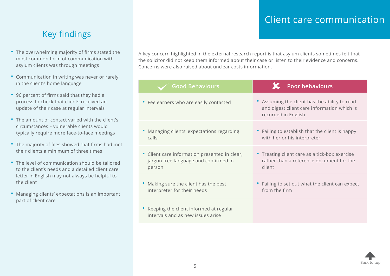#### Client care communication

# <span id="page-4-0"></span>Key findings

- The overwhelming majority of firms stated the most common form of communication with asylum clients was through meetings
- Communication in writing was never or rarely in the client's home language
- 96 percent of firms said that they had a process to check that clients received an update of their case at regular intervals
- The amount of contact varied with the client's circumstances – vulnerable clients would typically require more face-to-face meetings
- The majority of files showed that firms had met their clients a minimum of three times
- The level of communication should be tailored to the client's needs and a detailed client care letter in English may not always be helpful to the client
- Managing clients' expectations is an important part of client care

A key concern highlighted in the external research report is that asylum clients sometimes felt that the solicitor did not keep them informed about their case or listen to their evidence and concerns. Concerns were also raised about unclear costs information.

| <b>Good Behaviours</b>                                                        | <b>Poor behaviours</b>                                                                                              |
|-------------------------------------------------------------------------------|---------------------------------------------------------------------------------------------------------------------|
| • Fee earners who are easily contacted                                        | • Assuming the client has the ability to read<br>and digest client care information which is<br>recorded in English |
| Managing clients' expectations regarding                                      | • Failing to establish that the client is happy                                                                     |
| calls                                                                         | with her or his interpreter                                                                                         |
| • Client care information presented in clear,                                 | • Treating client care as a tick-box exercise                                                                       |
| jargon free language and confirmed in                                         | rather than a reference document for the                                                                            |
| person                                                                        | client                                                                                                              |
| Making sure the client has the best                                           | • Failing to set out what the client can expect                                                                     |
| interpreter for their needs                                                   | from the firm                                                                                                       |
| • Keeping the client informed at regular<br>intervals and as new issues arise |                                                                                                                     |

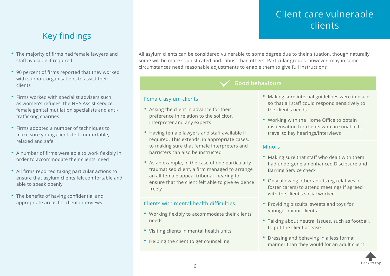# Client care vulnerable clients

# <span id="page-5-0"></span>Key findings

- The majority of firms had female lawyers and staff available if required
- 90 percent of firms reported that they worked with support organisations to assist their clients
- Firms worked with specialist advisers such as women's refuges, the NHS Assist service, female genital mutilation specialists and antitrafficking charities
- Firms adopted a number of techniques to make sure young clients felt comfortable, relaxed and safe
- A number of firms were able to work flexibly in order to accommodate their clients' need
- All firms reported taking particular actions to ensure that asylum clients felt comfortable and able to speak openly
- The benefits of having confidential and appropriate areas for client interviews

All asylum clients can be considered vulnerable to some degree due to their situation, though naturally some will be more sophisticated and robust than others. Particular groups, however, may in some circumstances need reasonable adjustments to enable them to give full instructions

#### **Good behaviours**

#### Female asylum clients

- Asking the client in advance for their preference in relation to the solicitor, interpreter and any experts
- Having female lawyers and staff available if required. This extends, in appropriate cases, to making sure that female interpreters and barristers can also be instructed
- As an example, in the case of one particularly traumatised client, a firm managed to arrange an all-female appeal tribunal hearing to ensure that the client felt able to give evidence freely

#### Clients with mental health difficulties

- Working flexibly to accommodate their clients' needs
- Visiting clients in mental health units
- Helping the client to get counselling
- Making sure internal guidelines were in place so that all staff could respond sensitively to the client's needs
- Working with the Home Office to obtain dispensation for clients who are unable to travel to key hearings/interviews

#### **Minors**

- Making sure that staff who dealt with them had undergone an enhanced Disclosure and Barring Service check
- Only allowing other adults (eg relatives or foster carers) to attend meetings if agreed with the client's social worker
- Providing biscuits, sweets and toys for younger minor clients
- Talking about neutral issues, such as football, to put the client at ease
- Dressing and behaving in a less formal manner than they would for an adult client

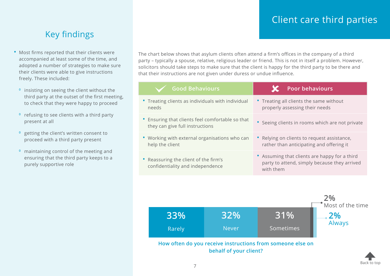# Client care third parties

[Back to top](#page-1-0)

### Key findings

- <span id="page-6-0"></span>• Most firms reported that their clients were accompanied at least some of the time, and adopted a number of strategies to make sure their clients were able to give instructions freely. These included:
	- <sup>o</sup> insisting on seeing the client without the third party at the outset of the first meeting, to check that they were happy to proceed
	- <sup>o</sup> refusing to see clients with a third party present at all
	- <sup>o</sup> getting the client's written consent to proceed with a third party present
	- ⁰ maintaining control of the meeting and ensuring that the third party keeps to a purely supportive role

The chart below shows that asylum clients often attend a firm's offices in the company of a third party – typically a spouse, relative, religious leader or friend. This is not in itself a problem. However, solicitors should take steps to make sure that the client is happy for the third party to be there and that their instructions are not given under duress or undue influence.

| <b>Good Behaviours</b>                                                              | Poor behaviours                                                                                            |
|-------------------------------------------------------------------------------------|------------------------------------------------------------------------------------------------------------|
| • Treating clients as individuals with individual<br>needs                          | • Treating all clients the same without<br>properly assessing their needs                                  |
| • Ensuring that clients feel comfortable so that<br>they can give full instructions | • Seeing clients in rooms which are not private                                                            |
| • Working with external organisations who can<br>help the client                    | • Relying on clients to request assistance,<br>rather than anticipating and offering it                    |
| • Reassuring the client of the firm's<br>confidentiality and independence           | • Assuming that clients are happy for a third<br>party to attend, simply because they arrived<br>with them |

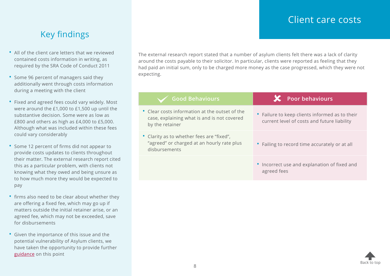#### Client care costs

### <span id="page-7-0"></span>Key findings

- All of the client care letters that we reviewed contained costs information in writing, as required by the SRA Code of Conduct 2011
- Some 96 percent of managers said they additionally went through costs information during a meeting with the client
- Fixed and agreed fees could vary widely. Most were around the £1,000 to £1,500 up until the substantive decision. Some were as low as £800 and others as high as £4,000 to £5,000. Although what was included within these fees could vary considerably
- Some 12 percent of firms did not appear to provide costs updates to clients throughout their matter. The external research report cited this as a particular problem, with clients not knowing what they owed and being unsure as to how much more they would be expected to pay
- firms also need to be clear about whether they are offering a fixed fee, which may go up if matters outside the initial retainer arise, or an agreed fee, which may not be exceeded, save for disbursements
- Given the importance of this issue and the potential vulnerability of Asylum clients, we have taken the opportunity to provide further [guidance](http://www.sra.org.uk/immigration) on this point

The external research report stated that a number of asylum clients felt there was a lack of clarity around the costs payable to their solicitor. In particular, clients were reported as feeling that they had paid an initial sum, only to be charged more money as the case progressed, which they were not expecting.

| <b>Good Behaviours</b>                                                                                           | <b>X</b> Poor behaviours                                                                      |
|------------------------------------------------------------------------------------------------------------------|-----------------------------------------------------------------------------------------------|
| • Clear costs information at the outset of the<br>case, explaining what is and is not covered<br>by the retainer | • Failure to keep clients informed as to their<br>current level of costs and future liability |
| • Clarity as to whether fees are "fixed",<br>"agreed" or charged at an hourly rate plus<br>disbursements         | • Failing to record time accurately or at all                                                 |
|                                                                                                                  | • Incorrect use and explanation of fixed and<br>agreed fees                                   |

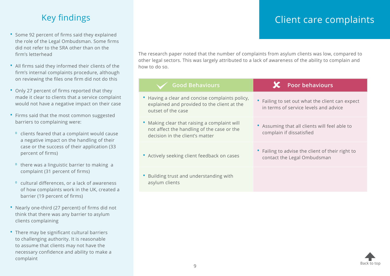### Key findings

- <span id="page-8-0"></span>• Some 92 percent of firms said they explained the role of the Legal Ombudsman. Some firms did not refer to the SRA other than on the firm's letterhead
- All firms said they informed their clients of the firm's internal complaints procedure, although on reviewing the files one firm did not do this
- Only 27 percent of firms reported that they made it clear to clients that a service complaint would not have a negative impact on their case
- Firms said that the most common suggested barriers to complaining were:
- ⁰ clients feared that a complaint would cause a negative impact on the handling of their case or the success of their application (33 percent of firms)
- <sup>o</sup> there was a linguistic barrier to making a complaint (31 percent of firms)
- ⁰ cultural differences, or a lack of awareness of how complaints work in the UK, created a barrier (19 percent of firms)
- Nearly one-third (27 percent) of firms did not think that there was any barrier to asylum clients complaining
- There may be significant cultural barriers to challenging authority. It is reasonable to assume that clients may not have the necessary confidence and ability to make a complaint

## Client care complaints

The research paper noted that the number of complaints from asylum clients was low, compared to other legal sectors. This was largely attributed to a lack of awareness of the ability to complain and how to do so.

| <b>Good Behaviours</b>                                                                                                        | <b>Poor behaviours</b>                                                                   |
|-------------------------------------------------------------------------------------------------------------------------------|------------------------------------------------------------------------------------------|
| • Having a clear and concise complaints policy,<br>explained and provided to the client at the<br>outset of the case          | • Failing to set out what the client can expect<br>in terms of service levels and advice |
| • Making clear that raising a complaint will<br>not affect the handling of the case or the<br>decision in the client's matter | • Assuming that all clients will feel able to<br>complain if dissatisfied                |
| • Actively seeking client feedback on cases                                                                                   | • Failing to advise the client of their right to<br>contact the Legal Ombudsman          |
| • Building trust and understanding with<br>asylum clients                                                                     |                                                                                          |

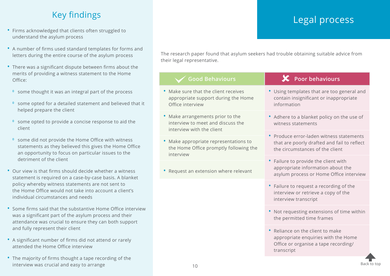# Key findings

- <span id="page-9-0"></span>• Firms acknowledged that clients often struggled to understand the asylum process
- A number of firms used standard templates for forms and letters during the entire course of the asylum process
- There was a significant dispute between firms about the merits of providing a witness statement to the Home Office:
	- ⁰ some thought it was an integral part of the process
	- ⁰ some opted for a detailed statement and believed that it helped prepare the client
	- ⁰ some opted to provide a concise response to aid the client
	- ⁰ some did not provide the Home Office with witness statements as they believed this gives the Home Office an opportunity to focus on particular issues to the detriment of the client
- Our view is that firms should decide whether a witness statement is required on a case-by-case basis. A blanket policy whereby witness statements are not sent to the Home Office would not take into account a client's individual circumstances and needs
- Some firms said that the substantive Home Office interview was a significant part of the asylum process and their attendance was crucial to ensure they can both support and fully represent their client
- A significant number of firms did not attend or rarely attended the Home Office interview
- The majority of firms thought a tape recording of the interview was crucial and easy to arrange

# Legal process

The research paper found that asylum seekers had trouble obtaining suitable advice from their legal representative.

| <b>Good Behaviours</b>                                                                           | $\mathbf X$ Poor behaviours                                                                                                |
|--------------------------------------------------------------------------------------------------|----------------------------------------------------------------------------------------------------------------------------|
| Make sure that the client receives<br>appropriate support during the Home<br>Office interview    | • Using templates that are too general and<br>contain insignificant or inappropriate<br>information                        |
| Make arrangements prior to the<br>interview to meet and discuss the<br>interview with the client | • Adhere to a blanket policy on the use of<br>witness statements                                                           |
| Make appropriate representations to<br>the Home Office promptly following the<br>interview       | • Produce error-laden witness statements<br>that are poorly drafted and fail to reflect<br>the circumstances of the client |
| Request an extension where relevant                                                              | • Failure to provide the client with<br>appropriate information about the<br>asylum process or Home Office interview       |
|                                                                                                  | • Failure to request a recording of the<br>interview or retrieve a copy of the<br>interview transcript                     |
|                                                                                                  | • Not requesting extensions of time within<br>the permitted time frames                                                    |
|                                                                                                  | Reliance on the client to make                                                                                             |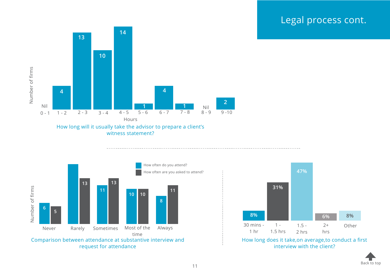### Legal process cont.







[Back to top](#page-1-0)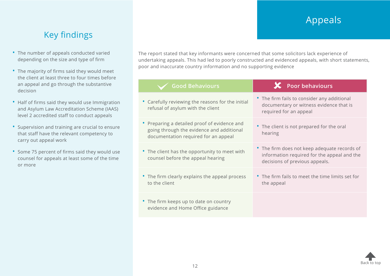# Appeals

## Key findings

- <span id="page-11-0"></span>• The number of appeals conducted varied depending on the size and type of firm
- The majority of firms said they would meet the client at least three to four times before an appeal and go through the substantive decision
- Half of firms said they would use Immigration and Asylum Law Accreditation Scheme (IAAS) level 2 accredited staff to conduct appeals
- Supervision and training are crucial to ensure that staff have the relevant competency to carry out appeal work
- Some 75 percent of firms said they would use counsel for appeals at least some of the time or more

The report stated that key informants were concerned that some solicitors lack experience of undertaking appeals. This had led to poorly constructed and evidenced appeals, with short statements, poor and inaccurate country information and no supporting evidence

| <b>Good Behaviours</b>                                                                                                            | $\mathsf{\times}$ Poor behaviours                                                                                             |
|-----------------------------------------------------------------------------------------------------------------------------------|-------------------------------------------------------------------------------------------------------------------------------|
| • Carefully reviewing the reasons for the initial<br>refusal of asylum with the client                                            | • The firm fails to consider any additional<br>documentary or witness evidence that is<br>required for an appeal              |
| • Preparing a detailed proof of evidence and<br>going through the evidence and additional<br>documentation required for an appeal | • The client is not prepared for the oral<br>hearing                                                                          |
| • The client has the opportunity to meet with<br>counsel before the appeal hearing                                                | • The firm does not keep adequate records of<br>information required for the appeal and the<br>decisions of previous appeals. |
| • The firm clearly explains the appeal process<br>to the client                                                                   | • The firm fails to meet the time limits set for<br>the appeal                                                                |
| • The firm keeps up to date on country<br>evidence and Home Office guidance                                                       |                                                                                                                               |

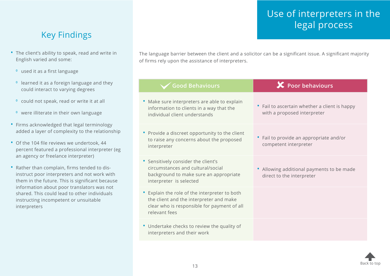# Use of interpreters in the legal process

### <span id="page-12-0"></span>Key Findings

- The client's ability to speak, read and write in English varied and some:
	- ⁰ used it as a first language
	- ⁰ learned it as a foreign language and they could interact to varying degrees
	- ⁰ could not speak, read or write it at all
	- ⁰ were illiterate in their own language
- Firms acknowledged that legal terminology added a layer of complexity to the relationship
- Of the 104 file reviews we undertook, 44 percent featured a professional interpreter (eg an agency or freelance interpreter)
- Rather than complain, firms tended to disinstruct poor interpreters and not work with them in the future. This is significant because information about poor translators was not shared. This could lead to other individuals instructing incompetent or unsuitable interpreters

The language barrier between the client and a solicitor can be a significant issue. A significant majority of firms rely upon the assistance of interpreters.

| <b>Good Behaviours</b>                                                                                                                                   | $\mathbf{\mathsf{X}}$ Poor behaviours                                        |
|----------------------------------------------------------------------------------------------------------------------------------------------------------|------------------------------------------------------------------------------|
| Make sure interpreters are able to explain<br>information to clients in a way that the<br>individual client understands                                  | • Fail to ascertain whether a client is happy<br>with a proposed interpreter |
| • Provide a discreet opportunity to the client<br>to raise any concerns about the proposed<br>interpreter                                                | • Fail to provide an appropriate and/or<br>competent interpreter             |
| • Sensitively consider the client's<br>circumstances and cultural/social<br>background to make sure an appropriate<br>interpreter is selected            | Allowing additional payments to be made<br>direct to the interpreter         |
| • Explain the role of the interpreter to both<br>the client and the interpreter and make<br>clear who is responsible for payment of all<br>relevant fees |                                                                              |
| • Undertake checks to review the quality of<br>interpreters and their work                                                                               |                                                                              |
|                                                                                                                                                          |                                                                              |

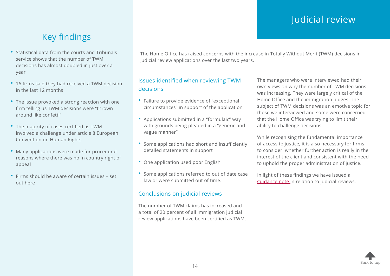# Judicial review

# Key findings

- <span id="page-13-0"></span>• Statistical data from the courts and Tribunals service shows that the number of TWM decisions has almost doubled in just over a year
- 16 firms said they had received a TWM decision in the last 12 months
- The issue provoked a strong reaction with one firm telling us TWM decisions were "thrown around like confetti"
- The majority of cases certified as TWM involved a challenge under article 8 European Convention on Human Rights
- Many applications were made for procedural reasons where there was no in country right of appeal
- Firms should be aware of certain issues set out here

The Home Office has raised concerns with the increase in Totally Without Merit (TWM) decisions in judicial review applications over the last two years.

#### Issues identified when reviewing TWM decisions

- Failure to provide evidence of "exceptional circumstances" in support of the application
- Applications submitted in a "formulaic" way with grounds being pleaded in a "generic and vague manner"
- Some applications had short and insufficiently detailed statements in support
- One application used poor English
- Some applications referred to out of date case law or were submitted out of time.

#### Conclusions on judicial reviews

The number of TWM claims has increased and a total of 20 percent of all immigration judicial review applications have been certified as TWM. The managers who were interviewed had their own views on why the number of TWM decisions was increasing. They were largely critical of the Home Office and the immigration judges. The subject of TWM decisions was an emotive topic for those we interviewed and some were concerned that the Home Office was trying to limit their ability to challenge decisions.

While recognising the fundamental importance of access to justice, it is also necessary for firms to consider whether further action is really in the interest of the client and consistent with the need to uphold the proper administration of justice.

In light of these findings we have issued a [guidance note](http://www.sra.org.uk/immigration) in relation to judicial reviews.

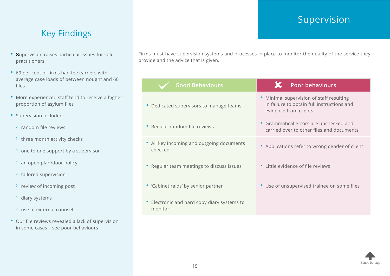# Supervision

### <span id="page-14-0"></span>Key Findings

- Supervision raises particular issues for sole practitioners
- 69 per cent of firms had fee earners with average case loads of between nought and 60 files
- More experienced staff tend to receive a higher proportion of asylum files
- Supervision included:
	- <sup>o</sup> random file reviews
	- <sup>o</sup> three month activity checks
	- <sup>o</sup> one to one support by a supervisor
	- <sup>o</sup> an open plan/door policy
	- <sup>o</sup> tailored supervision
	- <sup>o</sup> review of incoming post
	- <sup>o</sup> diary systems
	- <sup>o</sup> use of external counsel
- Our file reviews revealed a lack of supervision in some cases – see poor behaviours

Firms must have supervision systems and processes in place to monitor the quality of the service they provide and the advice that is given.

| <b>Good Behaviours</b>                                 | <b>Poor behaviours</b>                                                                                          |
|--------------------------------------------------------|-----------------------------------------------------------------------------------------------------------------|
| • Dedicated supervisors to manage teams                | • Minimal supervision of staff resulting<br>in failure to obtain full instructions and<br>evidence from clients |
| • Regular random file reviews                          | • Grammatical errors are unchecked and<br>carried over to other files and documents                             |
| • All key incoming and outgoing documents<br>checked   | • Applications refer to wrong gender of client                                                                  |
| • Regular team meetings to discuss issues              | • Little evidence of file reviews                                                                               |
| • 'Cabinet raids' by senior partner                    | • Use of unsupervised trainee on some files                                                                     |
| • Electronic and hard copy diary systems to<br>monitor |                                                                                                                 |
|                                                        |                                                                                                                 |

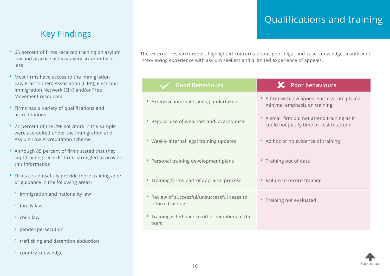# Qualifications and training

### <span id="page-15-0"></span>Key Findings

- 65 percent of firms received training on asylum law and practice at least every six months or less
- Most firms have access to the Immigration Law Practitioners Association (ILPA), Electronic Immigration Network (EIN) and/or Free Movement resources
- Firms had a variety of qualifications and accreditations
- 77 percent of the 298 solicitors in the sample were accredited under the Immigration and Asylum Law Accreditation scheme.
- Although 85 percent of firms stated that they kept training records, firms struggled to provide this information
- Firms could usefully provide more training and/ or guidance in the following areas:
	- <sup>o</sup> immigration and nationality law
	- <sup>o</sup> family law
	- <sup>o</sup> child law
	- <sup>o</sup> gender persecution
	- <sup>o</sup> trafficking and detention abduction
	- <sup>o</sup> country knowledge

The external research report highlighted concerns about poor legal and case knowledge, insufficient interviewing experience with asylum seekers and a limited experience of appeals.

| <b>Good Behaviours</b>                                           | Poor behaviours                                                                          |
|------------------------------------------------------------------|------------------------------------------------------------------------------------------|
| • Extensive internal training undertaken                         | • A firm with low appeal success rate placed<br>minimal emphasis on training             |
| • Regular use of webinars and local counsel                      | • A small firm did not attend training as it<br>could not justify time or cost to attend |
| • Weekly internal legal training updates                         | • Ad hoc or no evidence of training                                                      |
| • Personal training development plans                            | • Training out of date                                                                   |
| • Training forms part of appraisal process                       | • Failure to record training                                                             |
| • Review of successful/unsuccessful cases to<br>inform training. | • Training not evaluated                                                                 |
| • Training is fed back to other members of the<br>team           |                                                                                          |

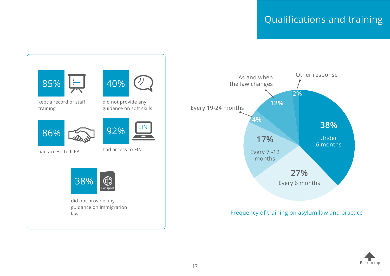# Qualifications and training





#### Frequency of training on asylum law and practice

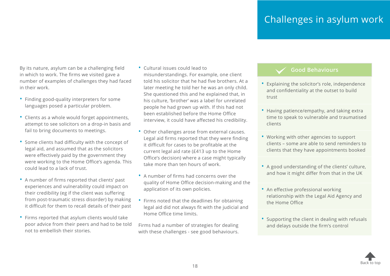# Challenges in asylum work

<span id="page-17-0"></span>By its nature, asylum can be a challenging field in which to work. The firms we visited gave a number of examples of challenges they had faced in their work.

- Finding good-quality interpreters for some languages posed a particular problem.
- Clients as a whole would forget appointments, attempt to see solicitors on a drop-in basis and fail to bring documents to meetings.
- Some clients had difficulty with the concept of legal aid, and assumed that as the solicitors were effectively paid by the government they were working to the Home Office's agenda. This could lead to a lack of trust.
- A number of firms reported that clients' past experiences and vulnerability could impact on their credibility (eg if the client was suffering from post-traumatic stress disorder) by making it difficult for them to recall details of their past
- Firms reported that asylum clients would take poor advice from their peers and had to be told not to embellish their stories.
- Cultural issues could lead to misunderstandings. For example, one client told his solicitor that he had five brothers. At a later meeting he told her he was an only child. She questioned this and he explained that, in his culture, 'brother' was a label for unrelated people he had grown up with. If this had not been established before the Home Office interview, it could have affected his credibility.
- Other challenges arose from external causes. Legal aid firms reported that they were finding it difficult for cases to be profitable at the current legal aid rate (£413 up to the Home Office's decision) where a case might typically take more than ten hours of work.
- A number of firms had concerns over the quality of Home Office decision-making and the application of its own policies.
- Firms noted that the deadlines for obtaining legal aid did not always fit with the judicial and Home Office time limits.

Firms had a number of strategies for dealing with these challenges - see good behaviours.

#### **Good Behaviours**

- Explaining the solicitor's role, independence and confidentiality at the outset to build trust
- Having patience/empathy, and taking extra time to speak to vulnerable and traumatised clients
- Working with other agencies to support clients – some are able to send reminders to clients that they have appointments booked
- A good understanding of the clients' culture, and how it might differ from that in the UK
- An effective professional working relationship with the Legal Aid Agency and the Home Office
- Supporting the client in dealing with refusals and delays outside the firm's control

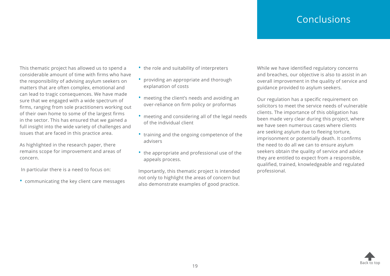### Conclusions

<span id="page-18-0"></span>This thematic project has allowed us to spend a considerable amount of time with firms who have the responsibility of advising asylum seekers on matters that are often complex, emotional and can lead to tragic consequences. We have made sure that we engaged with a wide spectrum of firms, ranging from sole practitioners working out of their own home to some of the largest firms in the sector. This has ensured that we gained a full insight into the wide variety of challenges and issues that are faced in this practice area.

As highlighted in the research paper, there remains scope for improvement and areas of concern.

In particular there is a need to focus on:

• communicating the key client care messages

- the role and suitability of interpreters
- providing an appropriate and thorough explanation of costs
- meeting the client's needs and avoiding an over-reliance on firm policy or proformas
- meeting and considering all of the legal needs of the individual client
- training and the ongoing competence of the advisers
- the appropriate and professional use of the appeals process.

Importantly, this thematic project is intended not only to highlight the areas of concern but also demonstrate examples of good practice.

While we have identified regulatory concerns and breaches, our objective is also to assist in an overall improvement in the quality of service and guidance provided to asylum seekers.

Our regulation has a specific requirement on solicitors to meet the service needs of vulnerable clients. The importance of this obligation has been made very clear during this project, where we have seen numerous cases where clients are seeking asylum due to fleeing torture, imprisonment or potentially death. It confirms the need to do all we can to ensure asylum seekers obtain the quality of service and advice they are entitled to expect from a responsible, qualified, trained, knowledgeable and regulated professional.